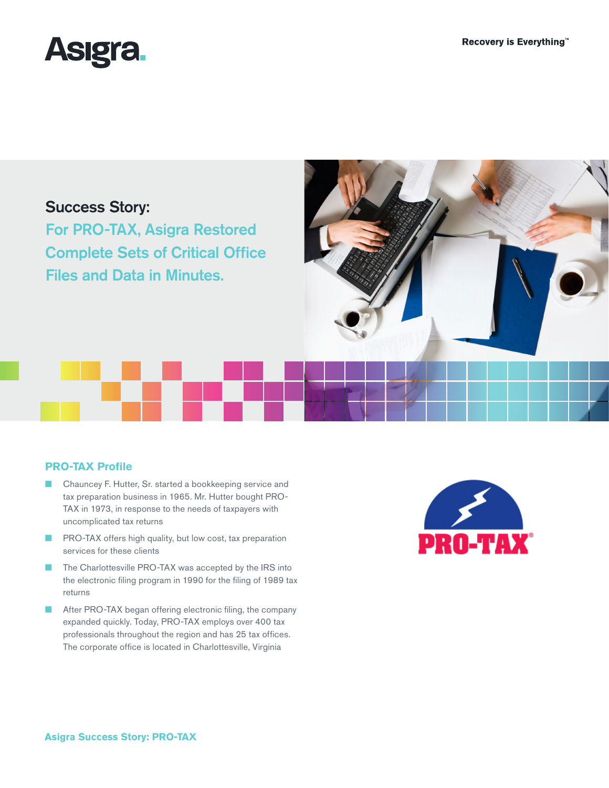

# Success Story:

For PRO-TAX, Asigra Restored Complete Sets of Critical Office Files and Data in Minutes.



### **PRO-TAX Profile**

- Chauncey F. Hutter, Sr. started a bookkeeping service and tax preparation business in 1965. Mr. Hutter bought PRO-TAX in 1973, in response to the needs of taxpayers with uncomplicated tax returns
- PRO-TAX offers high quality, but low cost, tax preparation services for these clients
- The Charlottesville PRO-TAX was accepted by the IRS into the electronic filing program in 1990 for the filing of 1989 tax returns
- After PRO-TAX began offering electronic filing, the company expanded quickly. Today, PRO-TAX employs over 400 tax professionals throughout the region and has 25 tax offices. The corporate office is located in Charlottesville, Virginia

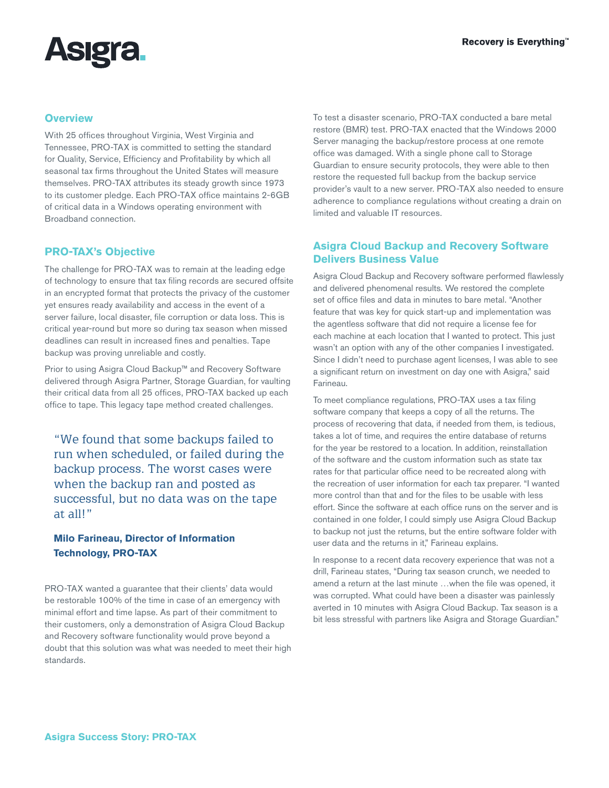

#### **Overview**

With 25 offices throughout Virginia, West Virginia and Tennessee, PRO-TAX is committed to setting the standard for Quality, Service, Efficiency and Profitability by which all seasonal tax firms throughout the United States will measure themselves. PRO-TAX attributes its steady growth since 1973 to its customer pledge. Each PRO-TAX office maintains 2-6GB of critical data in a Windows operating environment with Broadband connection.

### **PRO-TAX's Objective**

The challenge for PRO-TAX was to remain at the leading edge of technology to ensure that tax filing records are secured offsite in an encrypted format that protects the privacy of the customer yet ensures ready availability and access in the event of a server failure, local disaster, file corruption or data loss. This is critical year-round but more so during tax season when missed deadlines can result in increased fines and penalties. Tape backup was proving unreliable and costly.

Prior to using Asigra Cloud Backup™ and Recovery Software delivered through Asigra Partner, Storage Guardian, for vaulting their critical data from all 25 offices, PRO-TAX backed up each office to tape. This legacy tape method created challenges.

"We found that some backups failed to run when scheduled, or failed during the backup process. The worst cases were when the backup ran and posted as successful, but no data was on the tape at all!"

## **Milo Farineau, Director of Information Technology, PRO-TAX**

PRO-TAX wanted a guarantee that their clients' data would be restorable 100% of the time in case of an emergency with minimal effort and time lapse. As part of their commitment to their customers, only a demonstration of Asigra Cloud Backup and Recovery software functionality would prove beyond a doubt that this solution was what was needed to meet their high standards.

To test a disaster scenario, PRO-TAX conducted a bare metal restore (BMR) test. PRO-TAX enacted that the Windows 2000 Server managing the backup/restore process at one remote office was damaged. With a single phone call to Storage Guardian to ensure security protocols, they were able to then restore the requested full backup from the backup service provider's vault to a new server. PRO-TAX also needed to ensure adherence to compliance regulations without creating a drain on limited and valuable IT resources.

### **Asigra Cloud Backup and Recovery Software Delivers Business Value**

Asigra Cloud Backup and Recovery software performed flawlessly and delivered phenomenal results. We restored the complete set of office files and data in minutes to bare metal. "Another feature that was key for quick start-up and implementation was the agentless software that did not require a license fee for each machine at each location that I wanted to protect. This just wasn't an option with any of the other companies I investigated. Since I didn't need to purchase agent licenses, I was able to see a significant return on investment on day one with Asigra," said Farineau.

To meet compliance regulations, PRO-TAX uses a tax filing software company that keeps a copy of all the returns. The process of recovering that data, if needed from them, is tedious, takes a lot of time, and requires the entire database of returns for the year be restored to a location. In addition, reinstallation of the software and the custom information such as state tax rates for that particular office need to be recreated along with the recreation of user information for each tax preparer. "I wanted more control than that and for the files to be usable with less effort. Since the software at each office runs on the server and is contained in one folder, I could simply use Asigra Cloud Backup to backup not just the returns, but the entire software folder with user data and the returns in it," Farineau explains.

In response to a recent data recovery experience that was not a drill, Farineau states, "During tax season crunch, we needed to amend a return at the last minute …when the file was opened, it was corrupted. What could have been a disaster was painlessly averted in 10 minutes with Asigra Cloud Backup. Tax season is a bit less stressful with partners like Asigra and Storage Guardian."